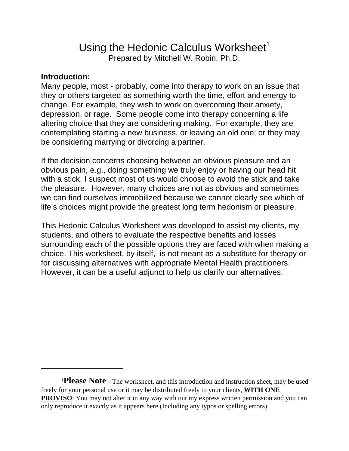## Using the Hedonic Calculus Worksheet<sup>1</sup> Prepared by Mitchell W. Robin, Ph.D.

## **Introduction:**

Many people, most - probably, come into therapy to work on an issue that they or others targeted as something worth the time, effort and energy to change. For example, they wish to work on overcoming their anxiety, depression, or rage. Some people come into therapy concerning a life altering choice that they are considering making. For example, they are contemplating starting a new business, or leaving an old one; or they may be considering marrying or divorcing a partner.

If the decision concerns choosing between an obvious pleasure and an obvious pain, e.g., doing something we truly enjoy or having our head hit with a stick, I suspect most of us would choose to avoid the stick and take the pleasure. However, many choices are not as obvious and sometimes we can find ourselves immobilized because we cannot clearly see which of life's choices might provide the greatest long term hedonism or pleasure.

This Hedonic Calculus Worksheet was developed to assist my clients, my students, and others to evaluate the respective benefits and losses surrounding each of the possible options they are faced with when making a choice. This worksheet, by itself, is not meant as a substitute for therapy or for discussing alternatives with appropriate Mental Health practitioners. However, it can be a useful adjunct to help us clarify our alternatives.

<sup>&</sup>lt;sup>1</sup>Please Note - The worksheet, and this introduction and instruction sheet, may be used freely for your personal use or it may be distributed freely to your clients, **WITH ONE PROVISO**: You may not alter it in any way with out my express written permission and you can only reproduce it exactly as it appears here (Including any typos or spelling errors).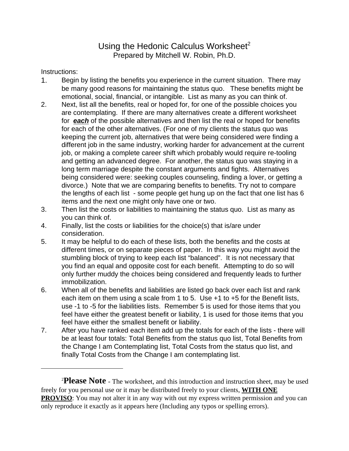## Using the Hedonic Calculus Worksheet<sup>2</sup> Prepared by Mitchell W. Robin, Ph.D.

Instructions:

- 1. Begin by listing the benefits you experience in the current situation. There may be many good reasons for maintaining the status quo. These benefits might be emotional, social, financial, or intangible. List as many as you can think of.
- 2. Next, list all the benefits, real or hoped for, for one of the possible choices you are contemplating. If there are many alternatives create a different worksheet for *each* of the possible alternatives and then list the real or hoped for benefits for each of the other alternatives. (For one of my clients the status quo was keeping the current job, alternatives that were being considered were finding a different job in the same industry, working harder for advancement at the current job, or making a complete career shift which probably would require re-tooling and getting an advanced degree. For another, the status quo was staying in a long term marriage despite the constant arguments and fights. Alternatives being considered were: seeking couples counseling, finding a lover, or getting a divorce.) Note that we are comparing benefits to benefits. Try not to compare the lengths of each list - some people get hung up on the fact that one list has 6 items and the next one might only have one or two.
- 3. Then list the costs or liabilities to maintaining the status quo. List as many as you can think of.
- 4. Finally, list the costs or liabilities for the choice(s) that is/are under consideration.
- 5. It may be helpful to do each of these lists, both the benefits and the costs at different times, or on separate pieces of paper. In this way you might avoid the stumbling block of trying to keep each list "balanced". It is not necessary that you find an equal and opposite cost for each benefit. Attempting to do so will only further muddy the choices being considered and frequently leads to further immobilization.
- 6. When all of the benefits and liabilities are listed go back over each list and rank each item on them using a scale from 1 to 5. Use +1 to +5 for the Benefit lists, use -1 to -5 for the liabilities lists. Remember 5 is used for those items that you feel have either the greatest benefit or liability, 1 is used for those items that you feel have either the smallest benefit or liability.
- 7. After you have ranked each item add up the totals for each of the lists there will be at least four totals: Total Benefits from the status quo list, Total Benefits from the Change I am Contemplating list, Total Costs from the status quo list, and finally Total Costs from the Change I am contemplating list.

2 **Please Note** - The worksheet, and this introduction and instruction sheet, may be used freely for you personal use or it may be distributed freely to your clients, **WITH ONE PROVISO**: You may not alter it in any way with out my express written permission and you can only reproduce it exactly as it appears here (Including any typos or spelling errors).